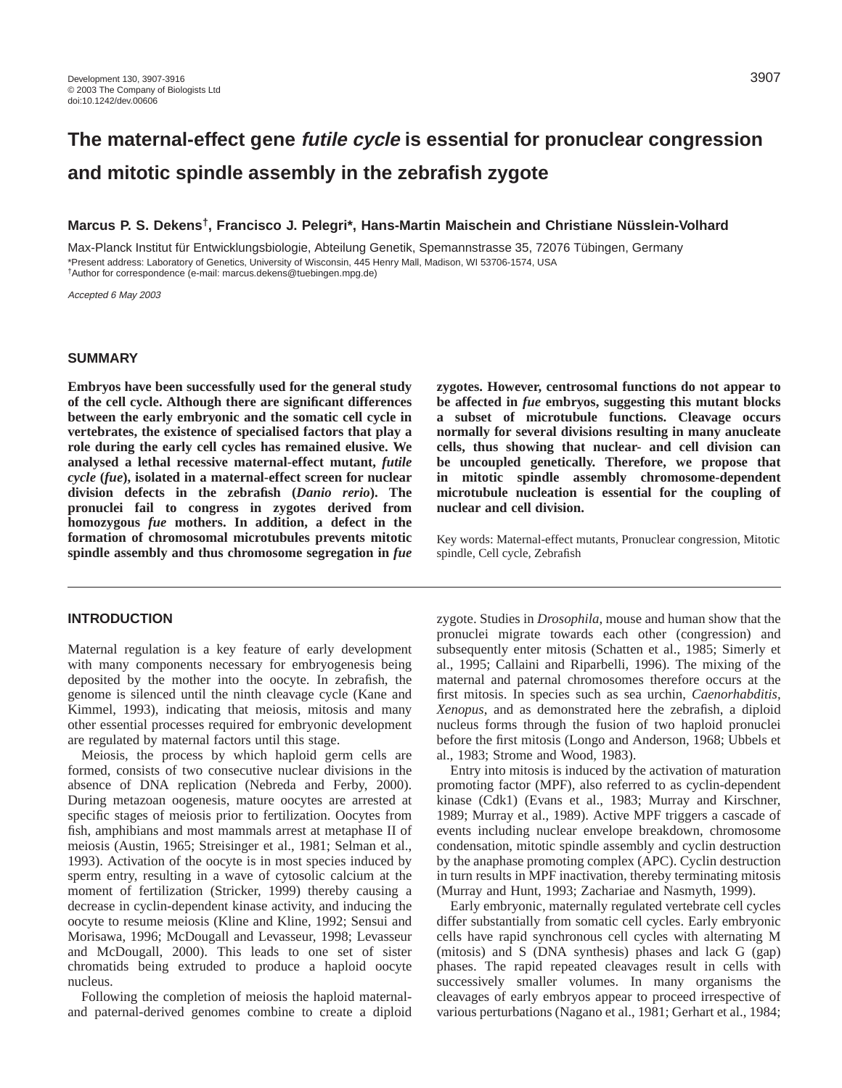# **The maternal-effect gene futile cycle is essential for pronuclear congression and mitotic spindle assembly in the zebrafish zygote**

# **Marcus P. S. Dekens†, Francisco J. Pelegri\*, Hans-Martin Maischein and Christiane Nüsslein-Volhard**

Max-Planck Institut für Entwicklungsbiologie, Abteilung Genetik, Spemannstrasse 35, 72076 Tübingen, Germany \*Present address: Laboratory of Genetics, University of Wisconsin, 445 Henry Mall, Madison, WI 53706-1574, USA †Author for correspondence (e-mail: marcus.dekens@tuebingen.mpg.de)

Accepted 6 May 2003

#### **SUMMARY**

**Embryos have been successfully used for the general study of the cell cycle. Although there are significant differences between the early embryonic and the somatic cell cycle in vertebrates, the existence of specialised factors that play a role during the early cell cycles has remained elusive. We analysed a lethal recessive maternal-effect mutant,** *futile cycle* **(***fue***), isolated in a maternal-effect screen for nuclear division defects in the zebrafish (***Danio rerio***). The pronuclei fail to congress in zygotes derived from homozygous** *fue* **mothers. In addition, a defect in the formation of chromosomal microtubules prevents mitotic spindle assembly and thus chromosome segregation in** *fue*

# **INTRODUCTION**

Maternal regulation is a key feature of early development with many components necessary for embryogenesis being deposited by the mother into the oocyte. In zebrafish, the genome is silenced until the ninth cleavage cycle (Kane and Kimmel, 1993), indicating that meiosis, mitosis and many other essential processes required for embryonic development are regulated by maternal factors until this stage.

Meiosis, the process by which haploid germ cells are formed, consists of two consecutive nuclear divisions in the absence of DNA replication (Nebreda and Ferby, 2000). During metazoan oogenesis, mature oocytes are arrested at specific stages of meiosis prior to fertilization. Oocytes from fish, amphibians and most mammals arrest at metaphase II of meiosis (Austin, 1965; Streisinger et al., 1981; Selman et al., 1993). Activation of the oocyte is in most species induced by sperm entry, resulting in a wave of cytosolic calcium at the moment of fertilization (Stricker, 1999) thereby causing a decrease in cyclin-dependent kinase activity, and inducing the oocyte to resume meiosis (Kline and Kline, 1992; Sensui and Morisawa, 1996; McDougall and Levasseur, 1998; Levasseur and McDougall, 2000). This leads to one set of sister chromatids being extruded to produce a haploid oocyte nucleus.

Following the completion of meiosis the haploid maternaland paternal-derived genomes combine to create a diploid **zygotes. However, centrosomal functions do not appear to be affected in** *fue* **embryos, suggesting this mutant blocks a subset of microtubule functions. Cleavage occurs normally for several divisions resulting in many anucleate cells, thus showing that nuclear- and cell division can be uncoupled genetically. Therefore, we propose that in mitotic spindle assembly chromosome-dependent microtubule nucleation is essential for the coupling of nuclear and cell division.**

Key words: Maternal-effect mutants, Pronuclear congression, Mitotic spindle, Cell cycle, Zebrafish

zygote. Studies in *Drosophila*, mouse and human show that the pronuclei migrate towards each other (congression) and subsequently enter mitosis (Schatten et al., 1985; Simerly et al., 1995; Callaini and Riparbelli, 1996). The mixing of the maternal and paternal chromosomes therefore occurs at the first mitosis. In species such as sea urchin, *Caenorhabditis, Xenopus*, and as demonstrated here the zebrafish, a diploid nucleus forms through the fusion of two haploid pronuclei before the first mitosis (Longo and Anderson, 1968; Ubbels et al., 1983; Strome and Wood, 1983).

Entry into mitosis is induced by the activation of maturation promoting factor (MPF), also referred to as cyclin-dependent kinase (Cdk1) (Evans et al., 1983; Murray and Kirschner, 1989; Murray et al., 1989). Active MPF triggers a cascade of events including nuclear envelope breakdown, chromosome condensation, mitotic spindle assembly and cyclin destruction by the anaphase promoting complex (APC). Cyclin destruction in turn results in MPF inactivation, thereby terminating mitosis (Murray and Hunt, 1993; Zachariae and Nasmyth, 1999).

Early embryonic, maternally regulated vertebrate cell cycles differ substantially from somatic cell cycles. Early embryonic cells have rapid synchronous cell cycles with alternating M (mitosis) and S (DNA synthesis) phases and lack G (gap) phases. The rapid repeated cleavages result in cells with successively smaller volumes. In many organisms the cleavages of early embryos appear to proceed irrespective of various perturbations (Nagano et al., 1981; Gerhart et al., 1984;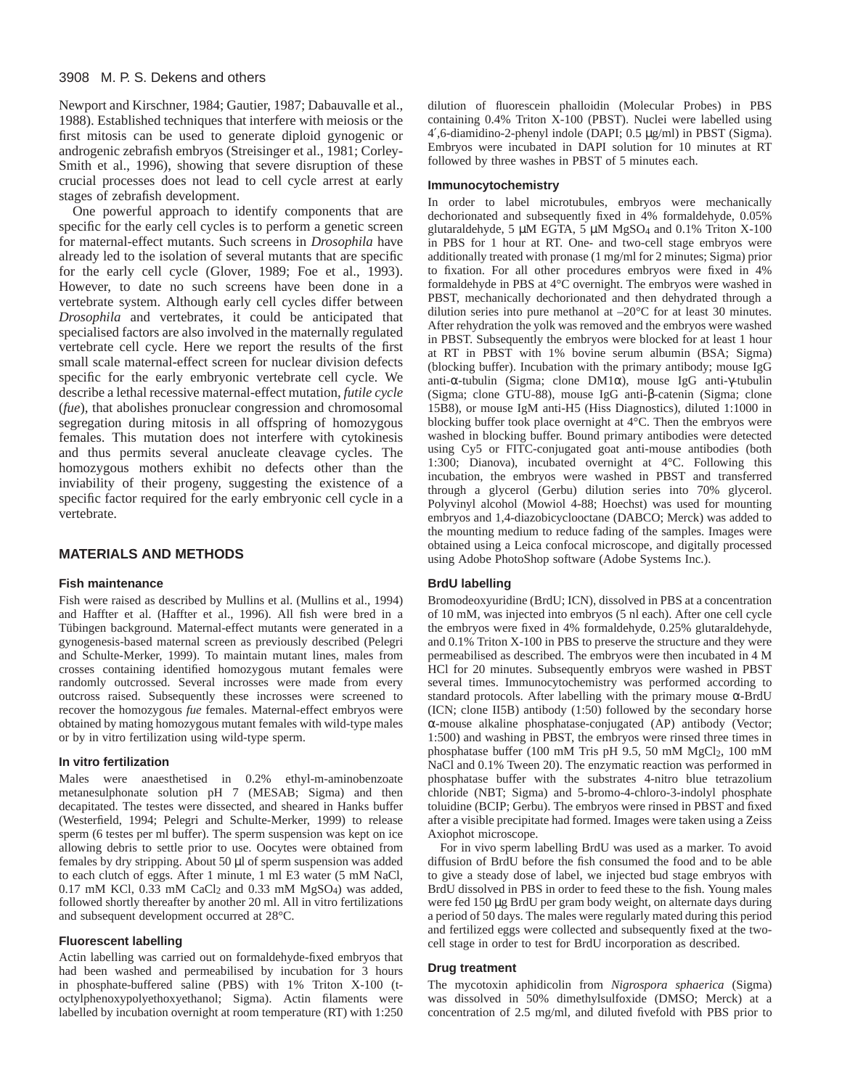Newport and Kirschner, 1984; Gautier, 1987; Dabauvalle et al., 1988). Established techniques that interfere with meiosis or the first mitosis can be used to generate diploid gynogenic or androgenic zebrafish embryos (Streisinger et al., 1981; Corley-Smith et al., 1996), showing that severe disruption of these crucial processes does not lead to cell cycle arrest at early stages of zebrafish development.

One powerful approach to identify components that are specific for the early cell cycles is to perform a genetic screen for maternal-effect mutants. Such screens in *Drosophila* have already led to the isolation of several mutants that are specific for the early cell cycle (Glover, 1989; Foe et al., 1993). However, to date no such screens have been done in a vertebrate system. Although early cell cycles differ between *Drosophila* and vertebrates, it could be anticipated that specialised factors are also involved in the maternally regulated vertebrate cell cycle. Here we report the results of the first small scale maternal-effect screen for nuclear division defects specific for the early embryonic vertebrate cell cycle. We describe a lethal recessive maternal-effect mutation, *futile cycle* (*fue*), that abolishes pronuclear congression and chromosomal segregation during mitosis in all offspring of homozygous females. This mutation does not interfere with cytokinesis and thus permits several anucleate cleavage cycles. The homozygous mothers exhibit no defects other than the inviability of their progeny, suggesting the existence of a specific factor required for the early embryonic cell cycle in a vertebrate.

#### **MATERIALS AND METHODS**

#### **Fish maintenance**

Fish were raised as described by Mullins et al. (Mullins et al., 1994) and Haffter et al. (Haffter et al., 1996). All fish were bred in a Tübingen background. Maternal-effect mutants were generated in a gynogenesis-based maternal screen as previously described (Pelegri and Schulte-Merker, 1999). To maintain mutant lines, males from crosses containing identified homozygous mutant females were randomly outcrossed. Several incrosses were made from every outcross raised. Subsequently these incrosses were screened to recover the homozygous *fue* females. Maternal-effect embryos were obtained by mating homozygous mutant females with wild-type males or by in vitro fertilization using wild-type sperm.

#### **In vitro fertilization**

Males were anaesthetised in 0.2% ethyl-m-aminobenzoate metanesulphonate solution pH 7 (MESAB; Sigma) and then decapitated. The testes were dissected, and sheared in Hanks buffer (Westerfield, 1994; Pelegri and Schulte-Merker, 1999) to release sperm (6 testes per ml buffer). The sperm suspension was kept on ice allowing debris to settle prior to use. Oocytes were obtained from females by dry stripping. About 50 µl of sperm suspension was added to each clutch of eggs. After 1 minute, 1 ml E3 water (5 mM NaCl,  $0.17$  mM KCl,  $0.33$  mM CaCl<sub>2</sub> and  $0.33$  mM MgSO<sub>4</sub>) was added, followed shortly thereafter by another 20 ml. All in vitro fertilizations and subsequent development occurred at 28°C.

#### **Fluorescent labelling**

Actin labelling was carried out on formaldehyde-fixed embryos that had been washed and permeabilised by incubation for 3 hours in phosphate-buffered saline (PBS) with 1% Triton X-100 (toctylphenoxypolyethoxyethanol; Sigma). Actin filaments were labelled by incubation overnight at room temperature (RT) with 1:250

dilution of fluorescein phalloidin (Molecular Probes) in PBS containing 0.4% Triton X-100 (PBST). Nuclei were labelled using 4′,6-diamidino-2-phenyl indole (DAPI; 0.5 µg/ml) in PBST (Sigma). Embryos were incubated in DAPI solution for 10 minutes at RT followed by three washes in PBST of 5 minutes each.

#### **Immunocytochemistry**

In order to label microtubules, embryos were mechanically dechorionated and subsequently fixed in 4% formaldehyde, 0.05% glutaraldehyde, 5 µM EGTA, 5 µM MgSO4 and 0.1% Triton X-100 in PBS for 1 hour at RT. One- and two-cell stage embryos were additionally treated with pronase (1 mg/ml for 2 minutes; Sigma) prior to fixation. For all other procedures embryos were fixed in 4% formaldehyde in PBS at 4°C overnight. The embryos were washed in PBST, mechanically dechorionated and then dehydrated through a dilution series into pure methanol at –20°C for at least 30 minutes. After rehydration the yolk was removed and the embryos were washed in PBST. Subsequently the embryos were blocked for at least 1 hour at RT in PBST with 1% bovine serum albumin (BSA; Sigma) (blocking buffer). Incubation with the primary antibody; mouse IgG anti-α-tubulin (Sigma; clone DM1α), mouse IgG anti-γ-tubulin (Sigma; clone GTU-88), mouse IgG anti-β-catenin (Sigma; clone 15B8), or mouse IgM anti-H5 (Hiss Diagnostics), diluted 1:1000 in blocking buffer took place overnight at 4°C. Then the embryos were washed in blocking buffer. Bound primary antibodies were detected using Cy5 or FITC-conjugated goat anti-mouse antibodies (both 1:300; Dianova), incubated overnight at 4°C. Following this incubation, the embryos were washed in PBST and transferred through a glycerol (Gerbu) dilution series into 70% glycerol. Polyvinyl alcohol (Mowiol 4-88; Hoechst) was used for mounting embryos and 1,4-diazobicyclooctane (DABCO; Merck) was added to the mounting medium to reduce fading of the samples. Images were obtained using a Leica confocal microscope, and digitally processed using Adobe PhotoShop software (Adobe Systems Inc.).

#### **BrdU labelling**

Bromodeoxyuridine (BrdU; ICN), dissolved in PBS at a concentration of 10 mM, was injected into embryos (5 nl each). After one cell cycle the embryos were fixed in 4% formaldehyde, 0.25% glutaraldehyde, and 0.1% Triton X-100 in PBS to preserve the structure and they were permeabilised as described. The embryos were then incubated in 4 M HCl for 20 minutes. Subsequently embryos were washed in PBST several times. Immunocytochemistry was performed according to standard protocols. After labelling with the primary mouse α-BrdU (ICN; clone II5B) antibody (1:50) followed by the secondary horse α-mouse alkaline phosphatase-conjugated (AP) antibody (Vector; 1:500) and washing in PBST, the embryos were rinsed three times in phosphatase buffer (100 mM Tris pH 9.5, 50 mM MgCl2, 100 mM NaCl and 0.1% Tween 20). The enzymatic reaction was performed in phosphatase buffer with the substrates 4-nitro blue tetrazolium chloride (NBT; Sigma) and 5-bromo-4-chloro-3-indolyl phosphate toluidine (BCIP; Gerbu). The embryos were rinsed in PBST and fixed after a visible precipitate had formed. Images were taken using a Zeiss Axiophot microscope.

For in vivo sperm labelling BrdU was used as a marker. To avoid diffusion of BrdU before the fish consumed the food and to be able to give a steady dose of label, we injected bud stage embryos with BrdU dissolved in PBS in order to feed these to the fish. Young males were fed 150 µg BrdU per gram body weight, on alternate days during a period of 50 days. The males were regularly mated during this period and fertilized eggs were collected and subsequently fixed at the twocell stage in order to test for BrdU incorporation as described.

#### **Drug treatment**

The mycotoxin aphidicolin from *Nigrospora sphaerica* (Sigma) was dissolved in 50% dimethylsulfoxide (DMSO; Merck) at a concentration of 2.5 mg/ml, and diluted fivefold with PBS prior to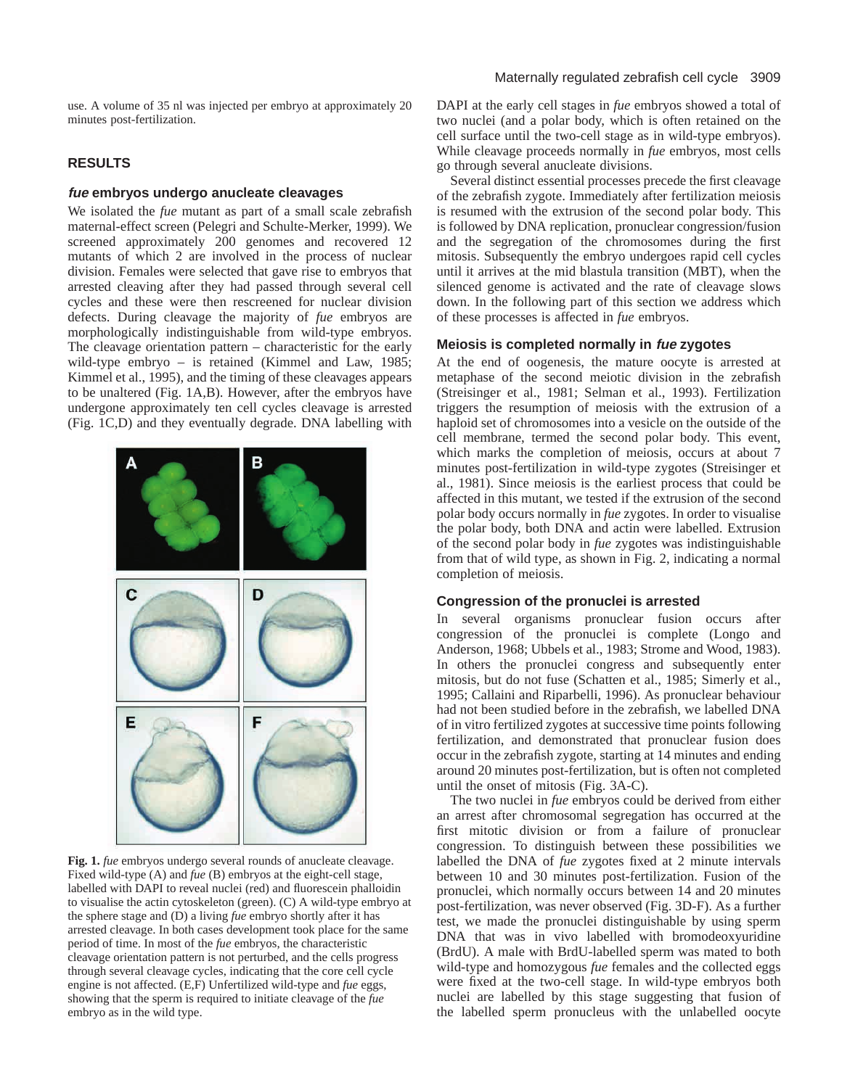use. A volume of 35 nl was injected per embryo at approximately 20 minutes post-fertilization.

# **RESULTS**

#### **fue embryos undergo anucleate cleavages**

We isolated the *fue* mutant as part of a small scale zebrafish maternal-effect screen (Pelegri and Schulte-Merker, 1999). We screened approximately 200 genomes and recovered 12 mutants of which 2 are involved in the process of nuclear division. Females were selected that gave rise to embryos that arrested cleaving after they had passed through several cell cycles and these were then rescreened for nuclear division defects. During cleavage the majority of *fue* embryos are morphologically indistinguishable from wild-type embryos. The cleavage orientation pattern – characteristic for the early wild-type embryo – is retained (Kimmel and Law, 1985; Kimmel et al., 1995), and the timing of these cleavages appears to be unaltered (Fig. 1A,B). However, after the embryos have undergone approximately ten cell cycles cleavage is arrested (Fig. 1C,D) and they eventually degrade. DNA labelling with



**Fig. 1.** *fue* embryos undergo several rounds of anucleate cleavage. Fixed wild-type (A) and *fue* (B) embryos at the eight-cell stage, labelled with DAPI to reveal nuclei (red) and fluorescein phalloidin to visualise the actin cytoskeleton (green). (C) A wild-type embryo at the sphere stage and (D) a living *fue* embryo shortly after it has arrested cleavage. In both cases development took place for the same period of time. In most of the *fue* embryos, the characteristic cleavage orientation pattern is not perturbed, and the cells progress through several cleavage cycles, indicating that the core cell cycle engine is not affected. (E,F) Unfertilized wild-type and *fue* eggs, showing that the sperm is required to initiate cleavage of the *fue* embryo as in the wild type.

DAPI at the early cell stages in *fue* embryos showed a total of two nuclei (and a polar body, which is often retained on the cell surface until the two-cell stage as in wild-type embryos). While cleavage proceeds normally in *fue* embryos, most cells go through several anucleate divisions.

Several distinct essential processes precede the first cleavage of the zebrafish zygote. Immediately after fertilization meiosis is resumed with the extrusion of the second polar body. This is followed by DNA replication, pronuclear congression/fusion and the segregation of the chromosomes during the first mitosis. Subsequently the embryo undergoes rapid cell cycles until it arrives at the mid blastula transition (MBT), when the silenced genome is activated and the rate of cleavage slows down. In the following part of this section we address which of these processes is affected in *fue* embryos.

#### **Meiosis is completed normally in fue zygotes**

At the end of oogenesis, the mature oocyte is arrested at metaphase of the second meiotic division in the zebrafish (Streisinger et al., 1981; Selman et al., 1993). Fertilization triggers the resumption of meiosis with the extrusion of a haploid set of chromosomes into a vesicle on the outside of the cell membrane, termed the second polar body. This event, which marks the completion of meiosis, occurs at about 7 minutes post-fertilization in wild-type zygotes (Streisinger et al., 1981). Since meiosis is the earliest process that could be affected in this mutant, we tested if the extrusion of the second polar body occurs normally in *fue* zygotes. In order to visualise the polar body, both DNA and actin were labelled. Extrusion of the second polar body in *fue* zygotes was indistinguishable from that of wild type, as shown in Fig. 2, indicating a normal completion of meiosis.

#### **Congression of the pronuclei is arrested**

In several organisms pronuclear fusion occurs after congression of the pronuclei is complete (Longo and Anderson, 1968; Ubbels et al., 1983; Strome and Wood, 1983). In others the pronuclei congress and subsequently enter mitosis, but do not fuse (Schatten et al., 1985; Simerly et al., 1995; Callaini and Riparbelli, 1996). As pronuclear behaviour had not been studied before in the zebrafish, we labelled DNA of in vitro fertilized zygotes at successive time points following fertilization, and demonstrated that pronuclear fusion does occur in the zebrafish zygote, starting at 14 minutes and ending around 20 minutes post-fertilization, but is often not completed until the onset of mitosis (Fig. 3A-C).

The two nuclei in *fue* embryos could be derived from either an arrest after chromosomal segregation has occurred at the first mitotic division or from a failure of pronuclear congression. To distinguish between these possibilities we labelled the DNA of *fue* zygotes fixed at 2 minute intervals between 10 and 30 minutes post-fertilization. Fusion of the pronuclei, which normally occurs between 14 and 20 minutes post-fertilization, was never observed (Fig. 3D-F). As a further test, we made the pronuclei distinguishable by using sperm DNA that was in vivo labelled with bromodeoxyuridine (BrdU). A male with BrdU-labelled sperm was mated to both wild-type and homozygous *fue* females and the collected eggs were fixed at the two-cell stage. In wild-type embryos both nuclei are labelled by this stage suggesting that fusion of the labelled sperm pronucleus with the unlabelled oocyte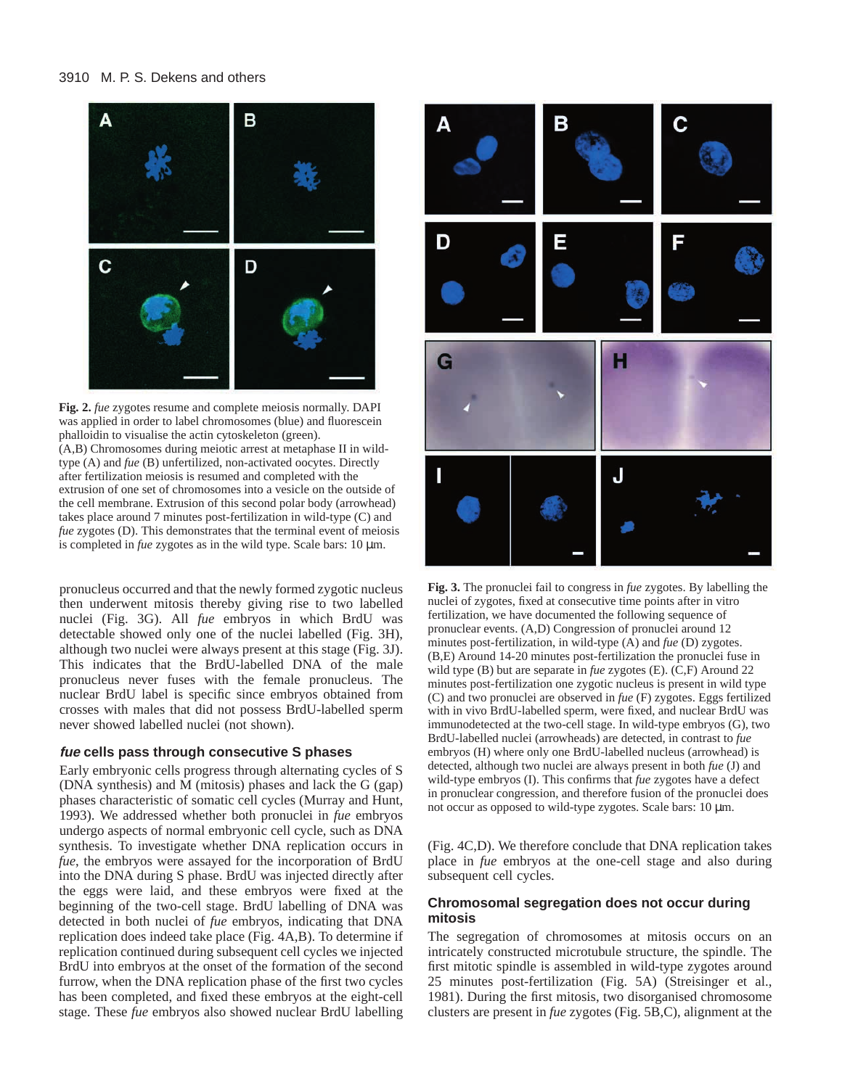

**Fig. 2.** *fue* zygotes resume and complete meiosis normally. DAPI was applied in order to label chromosomes (blue) and fluorescein phalloidin to visualise the actin cytoskeleton (green). (A,B) Chromosomes during meiotic arrest at metaphase II in wildtype (A) and *fue* (B) unfertilized, non-activated oocytes. Directly after fertilization meiosis is resumed and completed with the extrusion of one set of chromosomes into a vesicle on the outside of the cell membrane. Extrusion of this second polar body (arrowhead) takes place around 7 minutes post-fertilization in wild-type (C) and *fue* zygotes (D). This demonstrates that the terminal event of meiosis is completed in *fue* zygotes as in the wild type. Scale bars: 10 µm.

pronucleus occurred and that the newly formed zygotic nucleus then underwent mitosis thereby giving rise to two labelled nuclei (Fig. 3G). All *fue* embryos in which BrdU was detectable showed only one of the nuclei labelled (Fig. 3H), although two nuclei were always present at this stage (Fig. 3J). This indicates that the BrdU-labelled DNA of the male pronucleus never fuses with the female pronucleus. The nuclear BrdU label is specific since embryos obtained from crosses with males that did not possess BrdU-labelled sperm never showed labelled nuclei (not shown).

# **fue cells pass through consecutive S phases**

Early embryonic cells progress through alternating cycles of S (DNA synthesis) and M (mitosis) phases and lack the G (gap) phases characteristic of somatic cell cycles (Murray and Hunt, 1993). We addressed whether both pronuclei in *fue* embryos undergo aspects of normal embryonic cell cycle, such as DNA synthesis. To investigate whether DNA replication occurs in *fue*, the embryos were assayed for the incorporation of BrdU into the DNA during S phase. BrdU was injected directly after the eggs were laid, and these embryos were fixed at the beginning of the two-cell stage. BrdU labelling of DNA was detected in both nuclei of *fue* embryos, indicating that DNA replication does indeed take place (Fig. 4A,B). To determine if replication continued during subsequent cell cycles we injected BrdU into embryos at the onset of the formation of the second furrow, when the DNA replication phase of the first two cycles has been completed, and fixed these embryos at the eight-cell stage. These *fue* embryos also showed nuclear BrdU labelling



**Fig. 3.** The pronuclei fail to congress in *fue* zygotes. By labelling the nuclei of zygotes, fixed at consecutive time points after in vitro fertilization, we have documented the following sequence of pronuclear events. (A,D) Congression of pronuclei around 12 minutes post-fertilization, in wild-type (A) and *fue* (D) zygotes. (B,E) Around 14-20 minutes post-fertilization the pronuclei fuse in wild type (B) but are separate in *fue* zygotes (E). (C,F) Around 22 minutes post-fertilization one zygotic nucleus is present in wild type (C) and two pronuclei are observed in *fue* (F) zygotes. Eggs fertilized with in vivo BrdU-labelled sperm, were fixed, and nuclear BrdU was immunodetected at the two-cell stage. In wild-type embryos (G), two BrdU-labelled nuclei (arrowheads) are detected, in contrast to *fue* embryos (H) where only one BrdU-labelled nucleus (arrowhead) is detected, although two nuclei are always present in both *fue* (J) and wild-type embryos (I). This confirms that *fue* zygotes have a defect in pronuclear congression, and therefore fusion of the pronuclei does not occur as opposed to wild-type zygotes. Scale bars: 10 µm.

(Fig. 4C,D). We therefore conclude that DNA replication takes place in *fue* embryos at the one-cell stage and also during subsequent cell cycles.

# **Chromosomal segregation does not occur during mitosis**

The segregation of chromosomes at mitosis occurs on an intricately constructed microtubule structure, the spindle. The first mitotic spindle is assembled in wild-type zygotes around 25 minutes post-fertilization (Fig. 5A) (Streisinger et al., 1981). During the first mitosis, two disorganised chromosome clusters are present in *fue* zygotes (Fig. 5B,C), alignment at the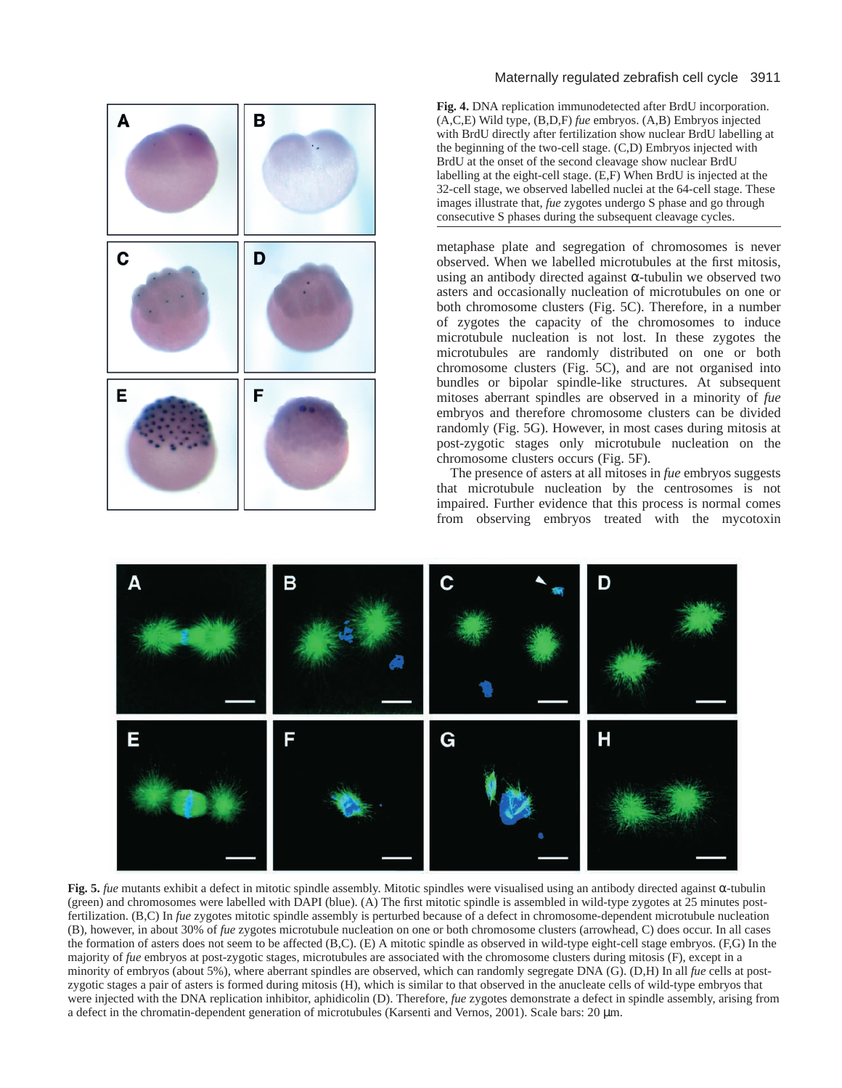

# Maternally regulated zebrafish cell cycle 3911

**Fig. 4.** DNA replication immunodetected after BrdU incorporation. (A,C,E) Wild type, (B,D,F) *fue* embryos. (A,B) Embryos injected with BrdU directly after fertilization show nuclear BrdU labelling at the beginning of the two-cell stage. (C,D) Embryos injected with BrdU at the onset of the second cleavage show nuclear BrdU labelling at the eight-cell stage. (E,F) When BrdU is injected at the 32-cell stage, we observed labelled nuclei at the 64-cell stage. These images illustrate that, *fue* zygotes undergo S phase and go through consecutive S phases during the subsequent cleavage cycles.

metaphase plate and segregation of chromosomes is never observed. When we labelled microtubules at the first mitosis, using an antibody directed against  $\alpha$ -tubulin we observed two asters and occasionally nucleation of microtubules on one or both chromosome clusters (Fig. 5C). Therefore, in a number of zygotes the capacity of the chromosomes to induce microtubule nucleation is not lost. In these zygotes the microtubules are randomly distributed on one or both chromosome clusters (Fig. 5C), and are not organised into bundles or bipolar spindle-like structures. At subsequent mitoses aberrant spindles are observed in a minority of *fue* embryos and therefore chromosome clusters can be divided randomly (Fig. 5G). However, in most cases during mitosis at post-zygotic stages only microtubule nucleation on the chromosome clusters occurs (Fig. 5F).

The presence of asters at all mitoses in *fue* embryos suggests that microtubule nucleation by the centrosomes is not impaired. Further evidence that this process is normal comes from observing embryos treated with the mycotoxin



**Fig. 5.** *fue* mutants exhibit a defect in mitotic spindle assembly. Mitotic spindles were visualised using an antibody directed against α-tubulin (green) and chromosomes were labelled with DAPI (blue). (A) The first mitotic spindle is assembled in wild-type zygotes at 25 minutes postfertilization. (B,C) In *fue* zygotes mitotic spindle assembly is perturbed because of a defect in chromosome-dependent microtubule nucleation (B), however, in about 30% of *fue* zygotes microtubule nucleation on one or both chromosome clusters (arrowhead, C) does occur. In all cases the formation of asters does not seem to be affected (B,C). (E) A mitotic spindle as observed in wild-type eight-cell stage embryos. (F,G) In the majority of *fue* embryos at post-zygotic stages, microtubules are associated with the chromosome clusters during mitosis (F), except in a minority of embryos (about 5%), where aberrant spindles are observed, which can randomly segregate DNA (G). (D,H) In all *fue* cells at postzygotic stages a pair of asters is formed during mitosis (H), which is similar to that observed in the anucleate cells of wild-type embryos that were injected with the DNA replication inhibitor, aphidicolin (D). Therefore, *fue* zygotes demonstrate a defect in spindle assembly, arising from a defect in the chromatin-dependent generation of microtubules (Karsenti and Vernos, 2001). Scale bars: 20 µm.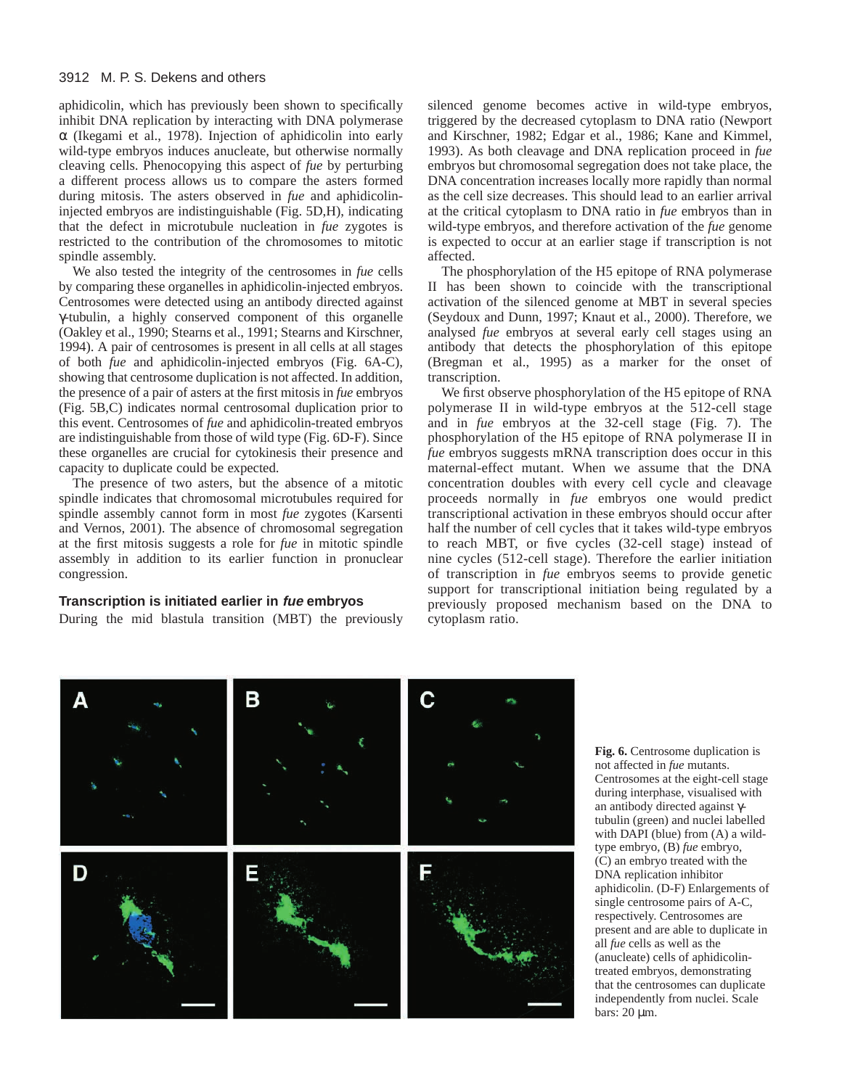aphidicolin, which has previously been shown to specifically inhibit DNA replication by interacting with DNA polymerase α (Ikegami et al., 1978). Injection of aphidicolin into early wild-type embryos induces anucleate, but otherwise normally cleaving cells. Phenocopying this aspect of *fue* by perturbing a different process allows us to compare the asters formed during mitosis. The asters observed in *fue* and aphidicolininjected embryos are indistinguishable (Fig. 5D,H), indicating that the defect in microtubule nucleation in *fue* zygotes is restricted to the contribution of the chromosomes to mitotic spindle assembly.

We also tested the integrity of the centrosomes in *fue* cells by comparing these organelles in aphidicolin-injected embryos. Centrosomes were detected using an antibody directed against γ-tubulin, a highly conserved component of this organelle (Oakley et al., 1990; Stearns et al., 1991; Stearns and Kirschner, 1994). A pair of centrosomes is present in all cells at all stages of both *fue* and aphidicolin-injected embryos (Fig. 6A-C), showing that centrosome duplication is not affected. In addition, the presence of a pair of asters at the first mitosis in *fue* embryos (Fig. 5B,C) indicates normal centrosomal duplication prior to this event. Centrosomes of *fue* and aphidicolin-treated embryos are indistinguishable from those of wild type (Fig. 6D-F). Since these organelles are crucial for cytokinesis their presence and capacity to duplicate could be expected.

The presence of two asters, but the absence of a mitotic spindle indicates that chromosomal microtubules required for spindle assembly cannot form in most *fue* zygotes (Karsenti and Vernos, 2001). The absence of chromosomal segregation at the first mitosis suggests a role for *fue* in mitotic spindle assembly in addition to its earlier function in pronuclear congression.

## **Transcription is initiated earlier in fue embryos**

During the mid blastula transition (MBT) the previously

silenced genome becomes active in wild-type embryos, triggered by the decreased cytoplasm to DNA ratio (Newport and Kirschner, 1982; Edgar et al., 1986; Kane and Kimmel, 1993). As both cleavage and DNA replication proceed in *fue* embryos but chromosomal segregation does not take place, the DNA concentration increases locally more rapidly than normal as the cell size decreases. This should lead to an earlier arrival at the critical cytoplasm to DNA ratio in *fue* embryos than in wild-type embryos, and therefore activation of the *fue* genome is expected to occur at an earlier stage if transcription is not affected.

The phosphorylation of the H5 epitope of RNA polymerase II has been shown to coincide with the transcriptional activation of the silenced genome at MBT in several species (Seydoux and Dunn, 1997; Knaut et al., 2000). Therefore, we analysed *fue* embryos at several early cell stages using an antibody that detects the phosphorylation of this epitope (Bregman et al., 1995) as a marker for the onset of transcription.

We first observe phosphorylation of the H5 epitope of RNA polymerase II in wild-type embryos at the 512-cell stage and in *fue* embryos at the 32-cell stage (Fig. 7). The phosphorylation of the H5 epitope of RNA polymerase II in *fue* embryos suggests mRNA transcription does occur in this maternal-effect mutant. When we assume that the DNA concentration doubles with every cell cycle and cleavage proceeds normally in *fue* embryos one would predict transcriptional activation in these embryos should occur after half the number of cell cycles that it takes wild-type embryos to reach MBT, or five cycles (32-cell stage) instead of nine cycles (512-cell stage). Therefore the earlier initiation of transcription in *fue* embryos seems to provide genetic support for transcriptional initiation being regulated by a previously proposed mechanism based on the DNA to cytoplasm ratio.



**Fig. 6.** Centrosome duplication is not affected in *fue* mutants. Centrosomes at the eight-cell stage during interphase, visualised with an antibody directed against γtubulin (green) and nuclei labelled with DAPI (blue) from (A) a wildtype embryo, (B) *fue* embryo, (C) an embryo treated with the DNA replication inhibitor aphidicolin. (D-F) Enlargements of single centrosome pairs of A-C, respectively. Centrosomes are present and are able to duplicate in all *fue* cells as well as the (anucleate) cells of aphidicolintreated embryos, demonstrating that the centrosomes can duplicate independently from nuclei. Scale bars: 20 µm.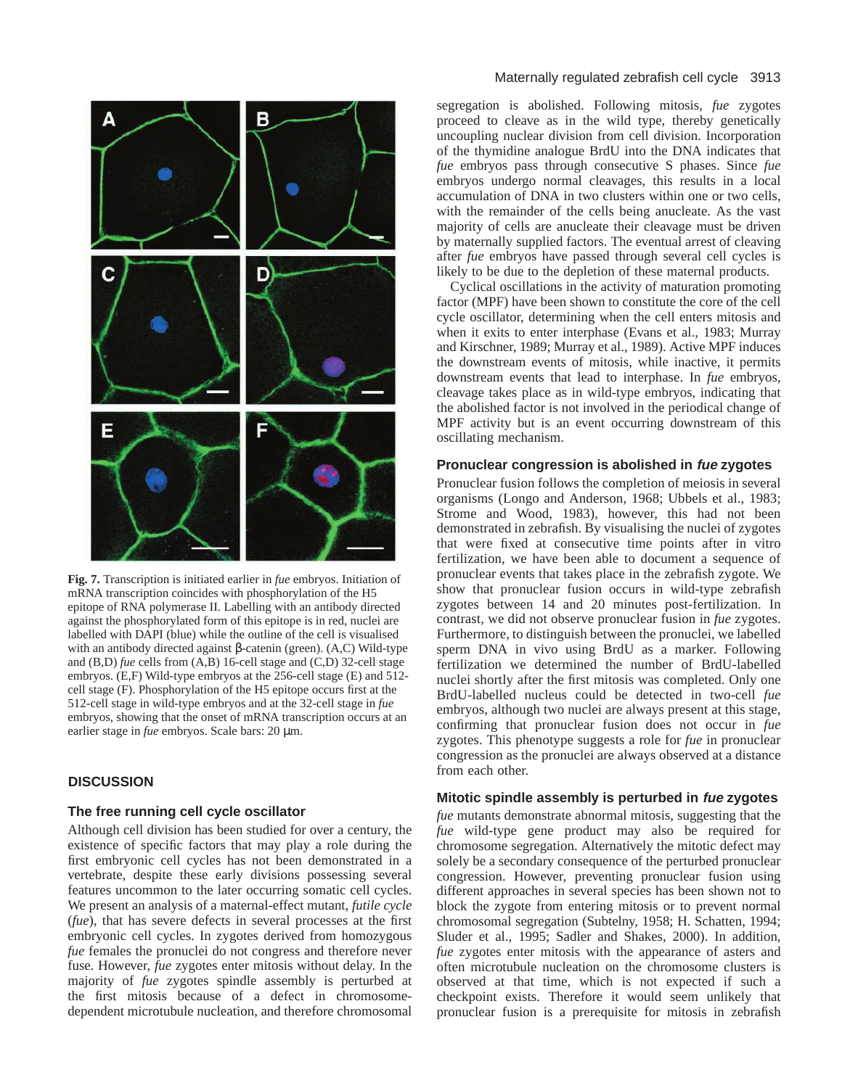

**Fig. 7.** Transcription is initiated earlier in *fue* embryos. Initiation of mRNA transcription coincides with phosphorylation of the H5 epitope of RNA polymerase II. Labelling with an antibody directed against the phosphorylated form of this epitope is in red, nuclei are labelled with DAPI (blue) while the outline of the cell is visualised with an antibody directed against β-catenin (green). (A,C) Wild-type and (B,D) *fue* cells from (A,B) 16-cell stage and (C,D) 32-cell stage embryos. (E,F) Wild-type embryos at the 256-cell stage (E) and 512 cell stage (F). Phosphorylation of the H5 epitope occurs first at the 512-cell stage in wild-type embryos and at the 32-cell stage in *fue* embryos, showing that the onset of mRNA transcription occurs at an earlier stage in *fue* embryos. Scale bars: 20 µm.

# **DISCUSSION**

#### **The free running cell cycle oscillator**

Although cell division has been studied for over a century, the existence of specific factors that may play a role during the first embryonic cell cycles has not been demonstrated in a vertebrate, despite these early divisions possessing several features uncommon to the later occurring somatic cell cycles. We present an analysis of a maternal-effect mutant, *futile cycle* (*fue*), that has severe defects in several processes at the first embryonic cell cycles. In zygotes derived from homozygous *fue* females the pronuclei do not congress and therefore never fuse. However, *fue* zygotes enter mitosis without delay. In the majority of *fue* zygotes spindle assembly is perturbed at the first mitosis because of a defect in chromosomedependent microtubule nucleation, and therefore chromosomal

# Maternally regulated zebrafish cell cycle 3913

segregation is abolished. Following mitosis, *fue* zygotes proceed to cleave as in the wild type, thereby genetically uncoupling nuclear division from cell division. Incorporation of the thymidine analogue BrdU into the DNA indicates that *fue* embryos pass through consecutive S phases. Since *fue* embryos undergo normal cleavages, this results in a local accumulation of DNA in two clusters within one or two cells, with the remainder of the cells being anucleate. As the vast majority of cells are anucleate their cleavage must be driven by maternally supplied factors. The eventual arrest of cleaving after *fue* embryos have passed through several cell cycles is likely to be due to the depletion of these maternal products.

Cyclical oscillations in the activity of maturation promoting factor (MPF) have been shown to constitute the core of the cell cycle oscillator, determining when the cell enters mitosis and when it exits to enter interphase (Evans et al., 1983; Murray and Kirschner, 1989; Murray et al., 1989). Active MPF induces the downstream events of mitosis, while inactive, it permits downstream events that lead to interphase. In *fue* embryos, cleavage takes place as in wild-type embryos, indicating that the abolished factor is not involved in the periodical change of MPF activity but is an event occurring downstream of this oscillating mechanism.

# **Pronuclear congression is abolished in fue zygotes**

Pronuclear fusion follows the completion of meiosis in several organisms (Longo and Anderson, 1968; Ubbels et al., 1983; Strome and Wood, 1983), however, this had not been demonstrated in zebrafish. By visualising the nuclei of zygotes that were fixed at consecutive time points after in vitro fertilization, we have been able to document a sequence of pronuclear events that takes place in the zebrafish zygote. We show that pronuclear fusion occurs in wild-type zebrafish zygotes between 14 and 20 minutes post-fertilization. In contrast, we did not observe pronuclear fusion in *fue* zygotes. Furthermore, to distinguish between the pronuclei, we labelled sperm DNA in vivo using BrdU as a marker. Following fertilization we determined the number of BrdU-labelled nuclei shortly after the first mitosis was completed. Only one BrdU-labelled nucleus could be detected in two-cell *fue* embryos, although two nuclei are always present at this stage, confirming that pronuclear fusion does not occur in *fue* zygotes. This phenotype suggests a role for *fue* in pronuclear congression as the pronuclei are always observed at a distance from each other.

## **Mitotic spindle assembly is perturbed in fue zygotes**

*fue* mutants demonstrate abnormal mitosis, suggesting that the *fue* wild-type gene product may also be required for chromosome segregation. Alternatively the mitotic defect may solely be a secondary consequence of the perturbed pronuclear congression. However, preventing pronuclear fusion using different approaches in several species has been shown not to block the zygote from entering mitosis or to prevent normal chromosomal segregation (Subtelny, 1958; H. Schatten, 1994; Sluder et al., 1995; Sadler and Shakes, 2000). In addition, *fue* zygotes enter mitosis with the appearance of asters and often microtubule nucleation on the chromosome clusters is observed at that time, which is not expected if such a checkpoint exists. Therefore it would seem unlikely that pronuclear fusion is a prerequisite for mitosis in zebrafish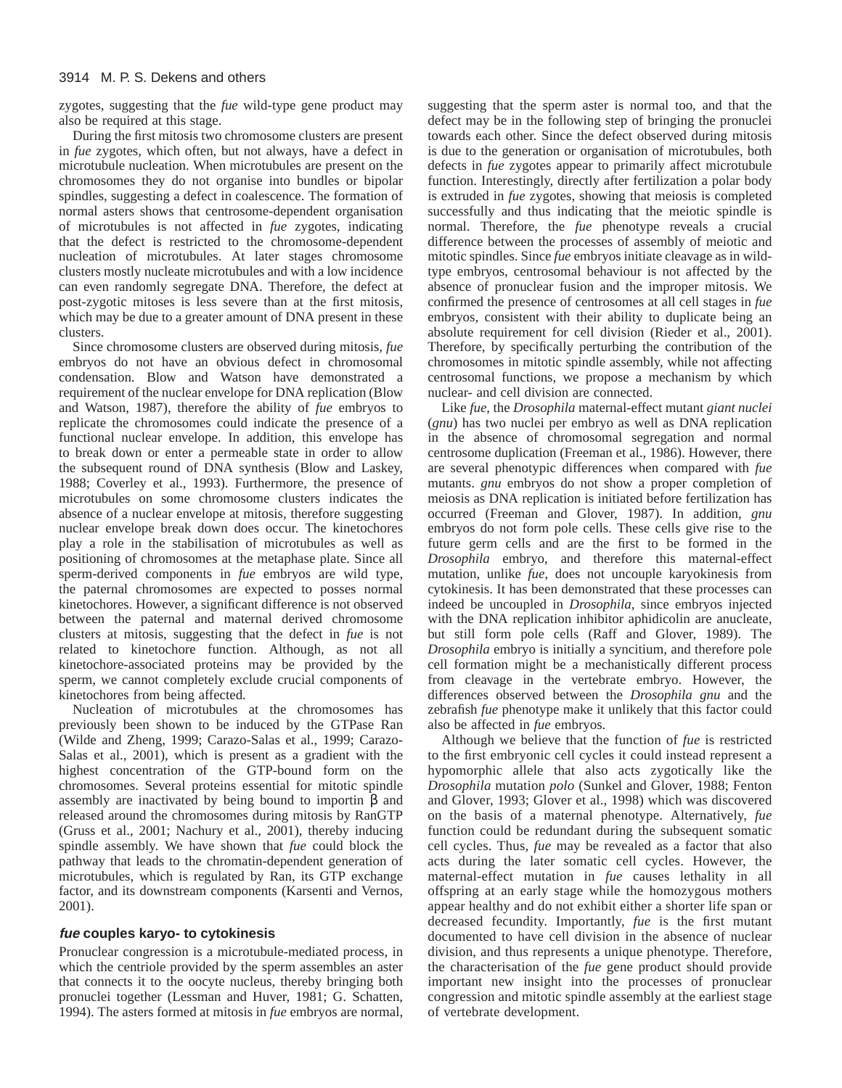zygotes, suggesting that the *fue* wild-type gene product may also be required at this stage.

During the first mitosis two chromosome clusters are present in *fue* zygotes, which often, but not always, have a defect in microtubule nucleation. When microtubules are present on the chromosomes they do not organise into bundles or bipolar spindles, suggesting a defect in coalescence. The formation of normal asters shows that centrosome-dependent organisation of microtubules is not affected in *fue* zygotes, indicating that the defect is restricted to the chromosome-dependent nucleation of microtubules. At later stages chromosome clusters mostly nucleate microtubules and with a low incidence can even randomly segregate DNA. Therefore, the defect at post-zygotic mitoses is less severe than at the first mitosis, which may be due to a greater amount of DNA present in these clusters.

Since chromosome clusters are observed during mitosis, *fue* embryos do not have an obvious defect in chromosomal condensation. Blow and Watson have demonstrated a requirement of the nuclear envelope for DNA replication (Blow and Watson, 1987), therefore the ability of *fue* embryos to replicate the chromosomes could indicate the presence of a functional nuclear envelope. In addition, this envelope has to break down or enter a permeable state in order to allow the subsequent round of DNA synthesis (Blow and Laskey, 1988; Coverley et al., 1993). Furthermore, the presence of microtubules on some chromosome clusters indicates the absence of a nuclear envelope at mitosis, therefore suggesting nuclear envelope break down does occur. The kinetochores play a role in the stabilisation of microtubules as well as positioning of chromosomes at the metaphase plate. Since all sperm-derived components in *fue* embryos are wild type, the paternal chromosomes are expected to posses normal kinetochores. However, a significant difference is not observed between the paternal and maternal derived chromosome clusters at mitosis, suggesting that the defect in *fue* is not related to kinetochore function. Although, as not all kinetochore-associated proteins may be provided by the sperm, we cannot completely exclude crucial components of kinetochores from being affected.

Nucleation of microtubules at the chromosomes has previously been shown to be induced by the GTPase Ran (Wilde and Zheng, 1999; Carazo-Salas et al., 1999; Carazo-Salas et al., 2001), which is present as a gradient with the highest concentration of the GTP-bound form on the chromosomes. Several proteins essential for mitotic spindle assembly are inactivated by being bound to importin β and released around the chromosomes during mitosis by RanGTP (Gruss et al., 2001; Nachury et al., 2001), thereby inducing spindle assembly. We have shown that *fue* could block the pathway that leads to the chromatin-dependent generation of microtubules, which is regulated by Ran, its GTP exchange factor, and its downstream components (Karsenti and Vernos, 2001).

# **fue couples karyo- to cytokinesis**

Pronuclear congression is a microtubule-mediated process, in which the centriole provided by the sperm assembles an aster that connects it to the oocyte nucleus, thereby bringing both pronuclei together (Lessman and Huver, 1981; G. Schatten, 1994). The asters formed at mitosis in *fue* embryos are normal,

suggesting that the sperm aster is normal too, and that the defect may be in the following step of bringing the pronuclei towards each other. Since the defect observed during mitosis is due to the generation or organisation of microtubules, both defects in *fue* zygotes appear to primarily affect microtubule function. Interestingly, directly after fertilization a polar body is extruded in *fue* zygotes, showing that meiosis is completed successfully and thus indicating that the meiotic spindle is normal. Therefore, the *fue* phenotype reveals a crucial difference between the processes of assembly of meiotic and mitotic spindles. Since *fue* embryos initiate cleavage as in wildtype embryos, centrosomal behaviour is not affected by the absence of pronuclear fusion and the improper mitosis. We confirmed the presence of centrosomes at all cell stages in *fue* embryos, consistent with their ability to duplicate being an absolute requirement for cell division (Rieder et al., 2001). Therefore, by specifically perturbing the contribution of the chromosomes in mitotic spindle assembly, while not affecting centrosomal functions, we propose a mechanism by which nuclear- and cell division are connected.

Like *fue*, the *Drosophila* maternal-effect mutant *giant nuclei* (*gnu*) has two nuclei per embryo as well as DNA replication in the absence of chromosomal segregation and normal centrosome duplication (Freeman et al., 1986). However, there are several phenotypic differences when compared with *fue* mutants. *gnu* embryos do not show a proper completion of meiosis as DNA replication is initiated before fertilization has occurred (Freeman and Glover, 1987). In addition, *gnu* embryos do not form pole cells. These cells give rise to the future germ cells and are the first to be formed in the *Drosophila* embryo, and therefore this maternal-effect mutation, unlike *fue*, does not uncouple karyokinesis from cytokinesis. It has been demonstrated that these processes can indeed be uncoupled in *Drosophila*, since embryos injected with the DNA replication inhibitor aphidicolin are anucleate, but still form pole cells (Raff and Glover, 1989). The *Drosophila* embryo is initially a syncitium, and therefore pole cell formation might be a mechanistically different process from cleavage in the vertebrate embryo. However, the differences observed between the *Drosophila gnu* and the zebrafish *fue* phenotype make it unlikely that this factor could also be affected in *fue* embryos.

Although we believe that the function of *fue* is restricted to the first embryonic cell cycles it could instead represent a hypomorphic allele that also acts zygotically like the *Drosophila* mutation *polo* (Sunkel and Glover, 1988; Fenton and Glover, 1993; Glover et al., 1998) which was discovered on the basis of a maternal phenotype. Alternatively, *fue* function could be redundant during the subsequent somatic cell cycles. Thus, *fue* may be revealed as a factor that also acts during the later somatic cell cycles. However, the maternal-effect mutation in *fue* causes lethality in all offspring at an early stage while the homozygous mothers appear healthy and do not exhibit either a shorter life span or decreased fecundity. Importantly, *fue* is the first mutant documented to have cell division in the absence of nuclear division, and thus represents a unique phenotype. Therefore, the characterisation of the *fue* gene product should provide important new insight into the processes of pronuclear congression and mitotic spindle assembly at the earliest stage of vertebrate development.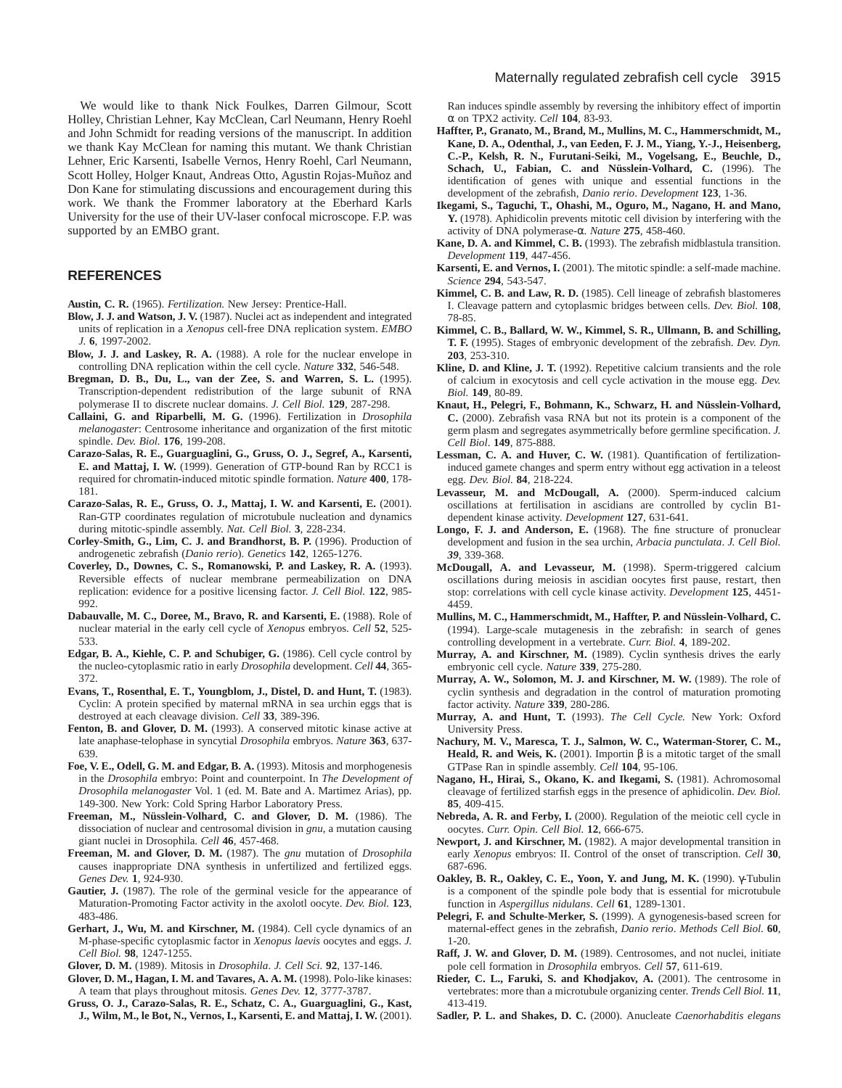We would like to thank Nick Foulkes, Darren Gilmour, Scott Holley, Christian Lehner, Kay McClean, Carl Neumann, Henry Roehl and John Schmidt for reading versions of the manuscript. In addition we thank Kay McClean for naming this mutant. We thank Christian Lehner, Eric Karsenti, Isabelle Vernos, Henry Roehl, Carl Neumann, Scott Holley, Holger Knaut, Andreas Otto, Agustin Rojas-Muñoz and Don Kane for stimulating discussions and encouragement during this work. We thank the Frommer laboratory at the Eberhard Karls University for the use of their UV-laser confocal microscope. F.P. was supported by an EMBO grant.

## **REFERENCES**

**Austin, C. R.** (1965). *Fertilization.* New Jersey: Prentice-Hall.

- **Blow, J. J. and Watson, J. V.** (1987). Nuclei act as independent and integrated units of replication in a *Xenopus* cell-free DNA replication system. *EMBO J.* **6**, 1997-2002.
- **Blow, J. J. and Laskey, R. A.** (1988). A role for the nuclear envelope in controlling DNA replication within the cell cycle. *Nature* **332**, 546-548.
- **Bregman, D. B., Du, L., van der Zee, S. and Warren, S. L.** (1995). Transcription-dependent redistribution of the large subunit of RNA polymerase II to discrete nuclear domains. *J. Cell Biol.* **129**, 287-298.
- **Callaini, G. and Riparbelli, M. G.** (1996). Fertilization in *Drosophila melanogaster*: Centrosome inheritance and organization of the first mitotic spindle. *Dev. Biol.* **176**, 199-208.
- **Carazo-Salas, R. E., Guarguaglini, G., Gruss, O. J., Segref, A., Karsenti, E. and Mattaj, I. W.** (1999). Generation of GTP-bound Ran by RCC1 is required for chromatin-induced mitotic spindle formation. *Nature* **400**, 178- 181.
- **Carazo-Salas, R. E., Gruss, O. J., Mattaj, I. W. and Karsenti, E.** (2001). Ran-GTP coordinates regulation of microtubule nucleation and dynamics during mitotic-spindle assembly. *Nat. Cell Biol.* **3**, 228-234.
- Corley-Smith, G., Lim, C. J. and Brandhorst, B. P. (1996). Production of androgenetic zebrafish (*Danio rerio*). *Genetics* **142**, 1265-1276.
- **Coverley, D., Downes, C. S., Romanowski, P. and Laskey, R. A.** (1993). Reversible effects of nuclear membrane permeabilization on DNA replication: evidence for a positive licensing factor. *J. Cell Biol.* **122**, 985- 992.
- Dabauvalle, M. C., Doree, M., Bravo, R. and Karsenti, E. (1988). Role of nuclear material in the early cell cycle of *Xenopus* embryos. *Cell* **52**, 525- 533.
- **Edgar, B. A., Kiehle, C. P. and Schubiger, G.** (1986). Cell cycle control by the nucleo-cytoplasmic ratio in early *Drosophila* development. *Cell* **44**, 365- 372.
- **Evans, T., Rosenthal, E. T., Youngblom, J., Distel, D. and Hunt, T.** (1983). Cyclin: A protein specified by maternal mRNA in sea urchin eggs that is destroyed at each cleavage division. *Cell* **33**, 389-396.
- Fenton, B. and Glover, D. M. (1993). A conserved mitotic kinase active at late anaphase-telophase in syncytial *Drosophila* embryos. *Nature* **363**, 637- 639.
- Foe, V. E., Odell, G. M. and Edgar, B. A. (1993). Mitosis and morphogenesis in the *Drosophila* embryo: Point and counterpoint. In *The Development of Drosophila melanogaster* Vol. 1 (ed. M. Bate and A. Martimez Arias), pp. 149-300. New York: Cold Spring Harbor Laboratory Press.
- **Freeman, M., Nüsslein-Volhard, C. and Glover, D. M.** (1986). The dissociation of nuclear and centrosomal division in *gnu*, a mutation causing giant nuclei in Drosophila. *Cell* **46**, 457-468.
- **Freeman, M. and Glover, D. M.** (1987). The *gnu* mutation of *Drosophila* causes inappropriate DNA synthesis in unfertilized and fertilized eggs. *Genes Dev.* **1**, 924-930.
- Gautier, J. (1987). The role of the germinal vesicle for the appearance of Maturation-Promoting Factor activity in the axolotl oocyte. *Dev. Biol.* **123**, 483-486.
- **Gerhart, J., Wu, M. and Kirschner, M.** (1984). Cell cycle dynamics of an M-phase-specific cytoplasmic factor in *Xenopus laevis* oocytes and eggs. *J. Cell Biol.* **98**, 1247-1255.
- **Glover, D. M.** (1989). Mitosis in *Drosophila*. *J. Cell Sci.* **92**, 137-146.
- **Glover, D. M., Hagan, I. M. and Tavares, A. A. M.** (1998). Polo-like kinases: A team that plays throughout mitosis. *Genes Dev.* **12**, 3777-3787.
- **Gruss, O. J., Carazo-Salas, R. E., Schatz, C. A., Guarguaglini, G., Kast, J., Wilm, M., le Bot, N., Vernos, I., Karsenti, E. and Mattaj, I. W.** (2001).

Ran induces spindle assembly by reversing the inhibitory effect of importin α on TPX2 activity. *Cell* **104**, 83-93.

- **Haffter, P., Granato, M., Brand, M., Mullins, M. C., Hammerschmidt, M., Kane, D. A., Odenthal, J., van Eeden, F. J. M., Yiang, Y.-J., Heisenberg, C.-P., Kelsh, R. N., Furutani-Seiki, M., Vogelsang, E., Beuchle, D., Schach, U., Fabian, C. and Nüsslein-Volhard, C.** (1996). The identification of genes with unique and essential functions in the development of the zebrafish, *Danio rerio*. *Development* **123**, 1-36.
- **Ikegami, S., Taguchi, T., Ohashi, M., Oguro, M., Nagano, H. and Mano, Y.** (1978). Aphidicolin prevents mitotic cell division by interfering with the activity of DNA polymerase-α. *Nature* **275**, 458-460.
- **Kane, D. A. and Kimmel, C. B.** (1993). The zebrafish midblastula transition. *Development* **119**, 447-456.
- **Karsenti, E. and Vernos, I.** (2001). The mitotic spindle: a self-made machine. *Science* **294**, 543-547.
- **Kimmel, C. B. and Law, R. D.** (1985). Cell lineage of zebrafish blastomeres I. Cleavage pattern and cytoplasmic bridges between cells. *Dev. Biol.* **108**, 78-85.
- **Kimmel, C. B., Ballard, W. W., Kimmel, S. R., Ullmann, B. and Schilling, T. F.** (1995). Stages of embryonic development of the zebrafish. *Dev. Dyn.* **203**, 253-310.
- **Kline, D. and Kline, J. T.** (1992). Repetitive calcium transients and the role of calcium in exocytosis and cell cycle activation in the mouse egg. *Dev. Biol.* **149**, 80-89.
- **Knaut, H., Pelegri, F., Bohmann, K., Schwarz, H. and Nüsslein-Volhard, C.** (2000). Zebrafish vasa RNA but not its protein is a component of the germ plasm and segregates asymmetrically before germline specification. *J. Cell Biol*. **149**, 875-888.
- Lessman, C. A. and Huver, C. W. (1981). Quantification of fertilizationinduced gamete changes and sperm entry without egg activation in a teleost egg. *Dev. Biol.* **84**, 218-224.
- Levasseur, M. and McDougall, A. (2000). Sperm-induced calcium oscillations at fertilisation in ascidians are controlled by cyclin B1 dependent kinase activity. *Development* **127**, 631-641.
- **Longo, F. J. and Anderson, E.** (1968). The fine structure of pronuclear development and fusion in the sea urchin, *Arbacia punctulata*. *J. Cell Biol. 39*, 339-368.
- **McDougall, A. and Levasseur, M.** (1998). Sperm-triggered calcium oscillations during meiosis in ascidian oocytes first pause, restart, then stop: correlations with cell cycle kinase activity. *Development* **125**, 4451- 4459.
- **Mullins, M. C., Hammerschmidt, M., Haffter, P. and Nüsslein-Volhard, C.** (1994). Large-scale mutagenesis in the zebrafish: in search of genes controlling development in a vertebrate. *Curr. Biol.* **4**, 189-202.
- **Murray, A. and Kirschner, M.** (1989). Cyclin synthesis drives the early embryonic cell cycle. *Nature* **339**, 275-280.
- **Murray, A. W., Solomon, M. J. and Kirschner, M. W.** (1989). The role of cyclin synthesis and degradation in the control of maturation promoting factor activity. *Nature* **339**, 280-286.
- **Murray, A. and Hunt, T.** (1993). *The Cell Cycle.* New York: Oxford University Press.
- **Nachury, M. V., Maresca, T. J., Salmon, W. C., Waterman-Storer, C. M., Heald, R. and Weis, K.** (2001). Importin  $\beta$  is a mitotic target of the small GTPase Ran in spindle assembly. *Cell* **104**, 95-106.
- Nagano, H., Hirai, S., Okano, K. and Ikegami, S. (1981). Achromosomal cleavage of fertilized starfish eggs in the presence of aphidicolin. *Dev. Biol.* **85**, 409-415.
- **Nebreda, A. R. and Ferby, I.** (2000). Regulation of the meiotic cell cycle in oocytes. *Curr. Opin. Cell Biol.* **12**, 666-675.
- **Newport, J. and Kirschner, M.** (1982). A major developmental transition in early *Xenopus* embryos: II. Control of the onset of transcription. *Cell* **30**, 687-696.
- **Oakley, B. R., Oakley, C. E., Yoon, Y. and Jung, M. K.** (1990). γ-Tubulin is a component of the spindle pole body that is essential for microtubule function in *Aspergillus nidulans*. *Cell* **61**, 1289-1301.
- Pelegri, F. and Schulte-Merker, S. (1999). A gynogenesis-based screen for maternal-effect genes in the zebrafish, *Danio rerio*. *Methods Cell Biol.* **60**, 1-20.
- Raff, J. W. and Glover, D. M. (1989). Centrosomes, and not nuclei, initiate pole cell formation in *Drosophila* embryos. *Cell* **57**, 611-619.
- **Rieder, C. L., Faruki, S. and Khodjakov, A.** (2001). The centrosome in vertebrates: more than a microtubule organizing center. *Trends Cell Biol.* **11**, 413-419.
- **Sadler, P. L. and Shakes, D. C.** (2000). Anucleate *Caenorhabditis elegans*